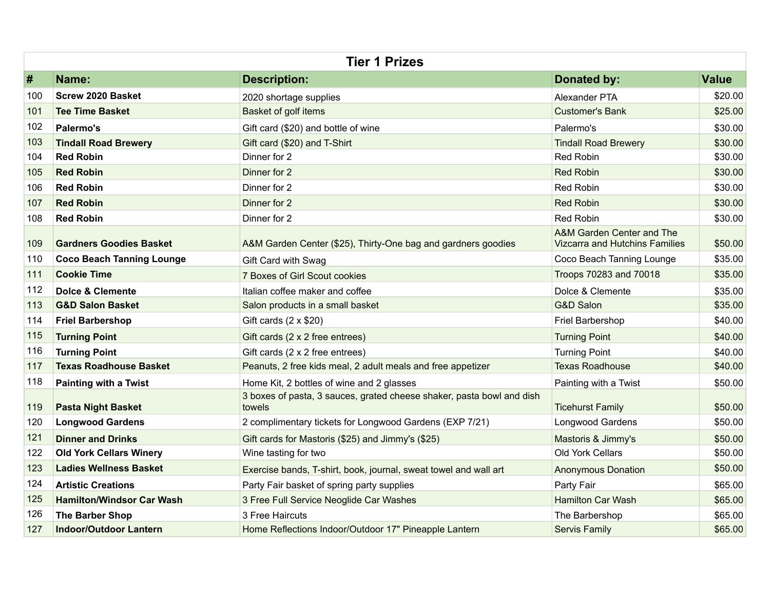| <b>Tier 1 Prizes</b> |                                  |                                                                                 |                                                                    |              |
|----------------------|----------------------------------|---------------------------------------------------------------------------------|--------------------------------------------------------------------|--------------|
| #                    | Name:                            | <b>Description:</b>                                                             | <b>Donated by:</b>                                                 | <b>Value</b> |
| 100                  | <b>Screw 2020 Basket</b>         | 2020 shortage supplies                                                          | Alexander PTA                                                      | \$20.00      |
| 101                  | <b>Tee Time Basket</b>           | Basket of golf items                                                            | <b>Customer's Bank</b>                                             | \$25.00      |
| 102                  | Palermo's                        | Gift card (\$20) and bottle of wine                                             | Palermo's                                                          | \$30.00      |
| 103                  | <b>Tindall Road Brewery</b>      | Gift card (\$20) and T-Shirt                                                    | <b>Tindall Road Brewery</b>                                        | \$30.00      |
| 104                  | <b>Red Robin</b>                 | Dinner for 2                                                                    | Red Robin                                                          | \$30.00      |
| 105                  | <b>Red Robin</b>                 | Dinner for 2                                                                    | <b>Red Robin</b>                                                   | \$30.00      |
| 106                  | <b>Red Robin</b>                 | Dinner for 2                                                                    | <b>Red Robin</b>                                                   | \$30.00      |
| 107                  | <b>Red Robin</b>                 | Dinner for 2                                                                    | <b>Red Robin</b>                                                   | \$30.00      |
| 108                  | <b>Red Robin</b>                 | Dinner for 2                                                                    | <b>Red Robin</b>                                                   | \$30.00      |
| 109                  | <b>Gardners Goodies Basket</b>   | A&M Garden Center (\$25), Thirty-One bag and gardners goodies                   | A&M Garden Center and The<br><b>Vizcarra and Hutchins Families</b> | \$50.00      |
| 110                  | <b>Coco Beach Tanning Lounge</b> | Gift Card with Swag                                                             | Coco Beach Tanning Lounge                                          | \$35.00      |
| 111                  | <b>Cookie Time</b>               | 7 Boxes of Girl Scout cookies                                                   | Troops 70283 and 70018                                             | \$35.00      |
| 112                  | Dolce & Clemente                 | Italian coffee maker and coffee                                                 | Dolce & Clemente                                                   | \$35.00      |
| 113                  | <b>G&amp;D Salon Basket</b>      | Salon products in a small basket                                                | <b>G&amp;D Salon</b>                                               | \$35.00      |
| 114                  | <b>Friel Barbershop</b>          | Gift cards $(2 \times $20)$                                                     | Friel Barbershop                                                   | \$40.00      |
| 115                  | <b>Turning Point</b>             | Gift cards (2 x 2 free entrees)                                                 | <b>Turning Point</b>                                               | \$40.00      |
| 116                  | <b>Turning Point</b>             | Gift cards (2 x 2 free entrees)                                                 | <b>Turning Point</b>                                               | \$40.00      |
| 117                  | <b>Texas Roadhouse Basket</b>    | Peanuts, 2 free kids meal, 2 adult meals and free appetizer                     | <b>Texas Roadhouse</b>                                             | \$40.00      |
| 118                  | <b>Painting with a Twist</b>     | Home Kit, 2 bottles of wine and 2 glasses                                       | Painting with a Twist                                              | \$50.00      |
| 119                  | <b>Pasta Night Basket</b>        | 3 boxes of pasta, 3 sauces, grated cheese shaker, pasta bowl and dish<br>towels | <b>Ticehurst Family</b>                                            | \$50.00      |
| 120                  | <b>Longwood Gardens</b>          | 2 complimentary tickets for Longwood Gardens (EXP 7/21)                         | Longwood Gardens                                                   | \$50.00      |
| 121                  | <b>Dinner and Drinks</b>         | Gift cards for Mastoris (\$25) and Jimmy's (\$25)                               | Mastoris & Jimmy's                                                 | \$50.00      |
| 122                  | <b>Old York Cellars Winery</b>   | Wine tasting for two                                                            | Old York Cellars                                                   | \$50.00      |
| 123                  | <b>Ladies Wellness Basket</b>    | Exercise bands, T-shirt, book, journal, sweat towel and wall art                | <b>Anonymous Donation</b>                                          | \$50.00      |
| 124                  | <b>Artistic Creations</b>        | Party Fair basket of spring party supplies                                      | Party Fair                                                         | \$65.00      |
| 125                  | <b>Hamilton/Windsor Car Wash</b> | 3 Free Full Service Neoglide Car Washes                                         | <b>Hamilton Car Wash</b>                                           | \$65.00      |
| 126                  | The Barber Shop                  | 3 Free Haircuts                                                                 | The Barbershop                                                     | \$65.00      |
| 127                  | <b>Indoor/Outdoor Lantern</b>    | Home Reflections Indoor/Outdoor 17" Pineapple Lantern                           | <b>Servis Family</b>                                               | \$65.00      |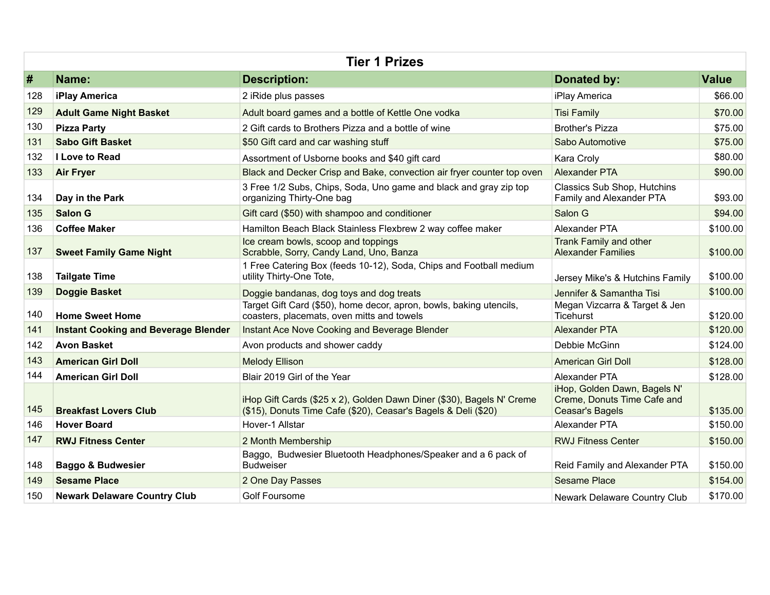| <b>Tier 1 Prizes</b> |                                             |                                                                                                                                         |                                                                                       |              |  |
|----------------------|---------------------------------------------|-----------------------------------------------------------------------------------------------------------------------------------------|---------------------------------------------------------------------------------------|--------------|--|
| #                    | Name:                                       | <b>Description:</b>                                                                                                                     | Donated by:                                                                           | <b>Value</b> |  |
| 128                  | iPlay America                               | 2 iRide plus passes                                                                                                                     | iPlay America                                                                         | \$66.00      |  |
| 129                  | <b>Adult Game Night Basket</b>              | Adult board games and a bottle of Kettle One vodka                                                                                      | <b>Tisi Family</b>                                                                    | \$70.00      |  |
| 130                  | <b>Pizza Party</b>                          | 2 Gift cards to Brothers Pizza and a bottle of wine                                                                                     | <b>Brother's Pizza</b>                                                                | \$75.00      |  |
| 131                  | <b>Sabo Gift Basket</b>                     | \$50 Gift card and car washing stuff                                                                                                    | Sabo Automotive                                                                       | \$75.00      |  |
| 132                  | <b>I Love to Read</b>                       | Assortment of Usborne books and \$40 gift card                                                                                          | Kara Croly                                                                            | \$80.00      |  |
| 133                  | <b>Air Fryer</b>                            | Black and Decker Crisp and Bake, convection air fryer counter top oven                                                                  | Alexander PTA                                                                         | \$90.00      |  |
| 134                  | Day in the Park                             | 3 Free 1/2 Subs, Chips, Soda, Uno game and black and gray zip top<br>organizing Thirty-One bag                                          | Classics Sub Shop, Hutchins<br>Family and Alexander PTA                               | \$93.00      |  |
| 135                  | <b>Salon G</b>                              | Gift card (\$50) with shampoo and conditioner                                                                                           | Salon G                                                                               | \$94.00      |  |
| 136                  | <b>Coffee Maker</b>                         | Hamilton Beach Black Stainless Flexbrew 2 way coffee maker                                                                              | Alexander PTA                                                                         | \$100.00     |  |
| 137                  | <b>Sweet Family Game Night</b>              | Ice cream bowls, scoop and toppings<br>Scrabble, Sorry, Candy Land, Uno, Banza                                                          | <b>Trank Family and other</b><br><b>Alexander Families</b>                            | \$100.00     |  |
| 138                  | <b>Tailgate Time</b>                        | 1 Free Catering Box (feeds 10-12), Soda, Chips and Football medium<br>utility Thirty-One Tote,                                          | Jersey Mike's & Hutchins Family                                                       | \$100.00     |  |
| 139                  | Doggie Basket                               | Doggie bandanas, dog toys and dog treats                                                                                                | Jennifer & Samantha Tisi                                                              | \$100.00     |  |
| 140                  | <b>Home Sweet Home</b>                      | Target Gift Card (\$50), home decor, apron, bowls, baking utencils,<br>coasters, placemats, oven mitts and towels                       | Megan Vizcarra & Target & Jen<br><b>Ticehurst</b>                                     | \$120.00     |  |
| 141                  | <b>Instant Cooking and Beverage Blender</b> | Instant Ace Nove Cooking and Beverage Blender                                                                                           | <b>Alexander PTA</b>                                                                  | \$120.00     |  |
| 142                  | <b>Avon Basket</b>                          | Avon products and shower caddy                                                                                                          | Debbie McGinn                                                                         | \$124.00     |  |
| 143                  | <b>American Girl Doll</b>                   | <b>Melody Ellison</b>                                                                                                                   | <b>American Girl Doll</b>                                                             | \$128.00     |  |
| 144                  | <b>American Girl Doll</b>                   | Blair 2019 Girl of the Year                                                                                                             | Alexander PTA                                                                         | \$128.00     |  |
| 145                  | <b>Breakfast Lovers Club</b>                | iHop Gift Cards (\$25 x 2), Golden Dawn Diner (\$30), Bagels N' Creme<br>(\$15), Donuts Time Cafe (\$20), Ceasar's Bagels & Deli (\$20) | iHop, Golden Dawn, Bagels N'<br>Creme, Donuts Time Cafe and<br><b>Ceasar's Bagels</b> | \$135.00     |  |
| 146                  | <b>Hover Board</b>                          | Hover-1 Allstar                                                                                                                         | Alexander PTA                                                                         | \$150.00     |  |
| 147                  | <b>RWJ Fitness Center</b>                   | 2 Month Membership                                                                                                                      | <b>RWJ Fitness Center</b>                                                             | \$150.00     |  |
| 148                  | <b>Baggo &amp; Budwesier</b>                | Baggo, Budwesier Bluetooth Headphones/Speaker and a 6 pack of<br><b>Budweiser</b>                                                       | Reid Family and Alexander PTA                                                         | \$150.00     |  |
| 149                  | <b>Sesame Place</b>                         | 2 One Day Passes                                                                                                                        | <b>Sesame Place</b>                                                                   | \$154.00     |  |
| 150                  | <b>Newark Delaware Country Club</b>         | <b>Golf Foursome</b>                                                                                                                    | Newark Delaware Country Club                                                          | \$170.00     |  |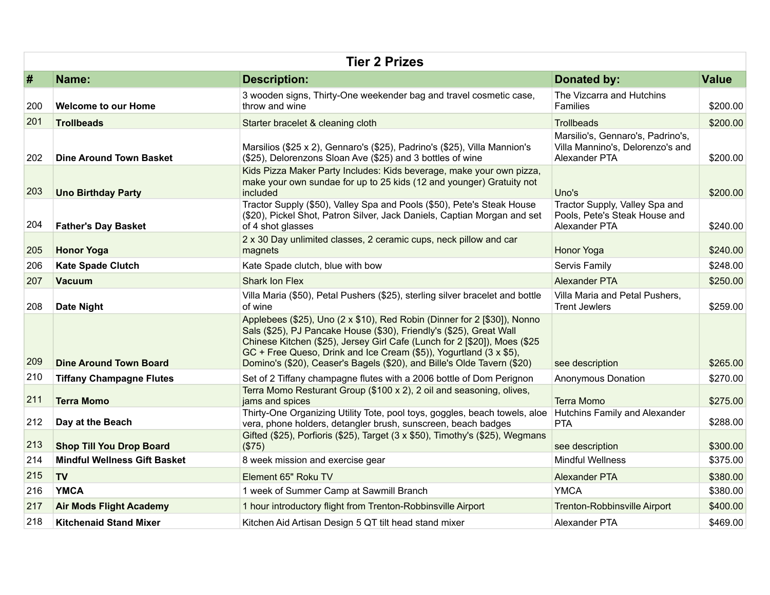| <b>Tier 2 Prizes</b> |                                     |                                                                                                                                                                                                                                                                                                                                                                                       |                                                                                        |              |  |
|----------------------|-------------------------------------|---------------------------------------------------------------------------------------------------------------------------------------------------------------------------------------------------------------------------------------------------------------------------------------------------------------------------------------------------------------------------------------|----------------------------------------------------------------------------------------|--------------|--|
| #                    | Name:                               | <b>Description:</b>                                                                                                                                                                                                                                                                                                                                                                   | <b>Donated by:</b>                                                                     | <b>Value</b> |  |
| 200                  | <b>Welcome to our Home</b>          | 3 wooden signs, Thirty-One weekender bag and travel cosmetic case,<br>throw and wine                                                                                                                                                                                                                                                                                                  | The Vizcarra and Hutchins<br><b>Families</b>                                           | \$200.00     |  |
| 201                  | <b>Trollbeads</b>                   | Starter bracelet & cleaning cloth                                                                                                                                                                                                                                                                                                                                                     | <b>Trollbeads</b>                                                                      | \$200.00     |  |
| 202                  | <b>Dine Around Town Basket</b>      | Marsilios (\$25 x 2), Gennaro's (\$25), Padrino's (\$25), Villa Mannion's<br>(\$25), Delorenzons Sloan Ave (\$25) and 3 bottles of wine                                                                                                                                                                                                                                               | Marsilio's, Gennaro's, Padrino's,<br>Villa Mannino's, Delorenzo's and<br>Alexander PTA | \$200.00     |  |
| 203                  | <b>Uno Birthday Party</b>           | Kids Pizza Maker Party Includes: Kids beverage, make your own pizza,<br>make your own sundae for up to 25 kids (12 and younger) Gratuity not<br>included                                                                                                                                                                                                                              | Uno's                                                                                  | \$200.00     |  |
| 204                  | <b>Father's Day Basket</b>          | Tractor Supply (\$50), Valley Spa and Pools (\$50), Pete's Steak House<br>(\$20), Pickel Shot, Patron Silver, Jack Daniels, Captian Morgan and set<br>of 4 shot glasses                                                                                                                                                                                                               | Tractor Supply, Valley Spa and<br>Pools, Pete's Steak House and<br>Alexander PTA       | \$240.00     |  |
| 205                  | <b>Honor Yoga</b>                   | 2 x 30 Day unlimited classes, 2 ceramic cups, neck pillow and car<br>magnets                                                                                                                                                                                                                                                                                                          | <b>Honor Yoga</b>                                                                      | \$240.00     |  |
| 206                  | <b>Kate Spade Clutch</b>            | Kate Spade clutch, blue with bow                                                                                                                                                                                                                                                                                                                                                      | Servis Family                                                                          | \$248.00     |  |
| 207                  | Vacuum                              | <b>Shark Ion Flex</b>                                                                                                                                                                                                                                                                                                                                                                 | <b>Alexander PTA</b>                                                                   | \$250.00     |  |
| 208                  | <b>Date Night</b>                   | Villa Maria (\$50), Petal Pushers (\$25), sterling silver bracelet and bottle<br>of wine                                                                                                                                                                                                                                                                                              | Villa Maria and Petal Pushers,<br><b>Trent Jewlers</b>                                 | \$259.00     |  |
| 209                  | <b>Dine Around Town Board</b>       | Applebees (\$25), Uno (2 x \$10), Red Robin (Dinner for 2 [\$30]), Nonno<br>Sals (\$25), PJ Pancake House (\$30), Friendly's (\$25), Great Wall<br>Chinese Kitchen (\$25), Jersey Girl Cafe (Lunch for 2 [\$20]), Moes (\$25<br>GC + Free Queso, Drink and Ice Cream (\$5)), Yogurtland ( $3 \times $5$ ),<br>Domino's (\$20), Ceaser's Bagels (\$20), and Bille's Olde Tavern (\$20) | see description                                                                        | \$265.00     |  |
| 210                  | <b>Tiffany Champagne Flutes</b>     | Set of 2 Tiffany champagne flutes with a 2006 bottle of Dom Perignon                                                                                                                                                                                                                                                                                                                  | Anonymous Donation                                                                     | \$270.00     |  |
| 211                  | <b>Terra Momo</b>                   | Terra Momo Resturant Group (\$100 x 2), 2 oil and seasoning, olives,<br>jams and spices                                                                                                                                                                                                                                                                                               | <b>Terra Momo</b>                                                                      | \$275.00     |  |
| 212                  | Day at the Beach                    | Thirty-One Organizing Utility Tote, pool toys, goggles, beach towels, aloe<br>vera, phone holders, detangler brush, sunscreen, beach badges                                                                                                                                                                                                                                           | Hutchins Family and Alexander<br><b>PTA</b>                                            | \$288.00     |  |
| 213                  | <b>Shop Till You Drop Board</b>     | Gifted (\$25), Porfioris (\$25), Target (3 x \$50), Timothy's (\$25), Wegmans<br>(\$75)                                                                                                                                                                                                                                                                                               | see description                                                                        | \$300.00     |  |
| 214                  | <b>Mindful Wellness Gift Basket</b> | 8 week mission and exercise gear                                                                                                                                                                                                                                                                                                                                                      | <b>Mindful Wellness</b>                                                                | \$375.00     |  |
| 215                  | <b>TV</b>                           | Element 65" Roku TV                                                                                                                                                                                                                                                                                                                                                                   | <b>Alexander PTA</b>                                                                   | \$380.00     |  |
| 216                  | <b>YMCA</b>                         | 1 week of Summer Camp at Sawmill Branch                                                                                                                                                                                                                                                                                                                                               | <b>YMCA</b>                                                                            | \$380.00     |  |
| 217                  | <b>Air Mods Flight Academy</b>      | 1 hour introductory flight from Trenton-Robbinsville Airport                                                                                                                                                                                                                                                                                                                          | <b>Trenton-Robbinsville Airport</b>                                                    | \$400.00     |  |
| 218                  | <b>Kitchenaid Stand Mixer</b>       | Kitchen Aid Artisan Design 5 QT tilt head stand mixer                                                                                                                                                                                                                                                                                                                                 | Alexander PTA                                                                          | \$469.00     |  |